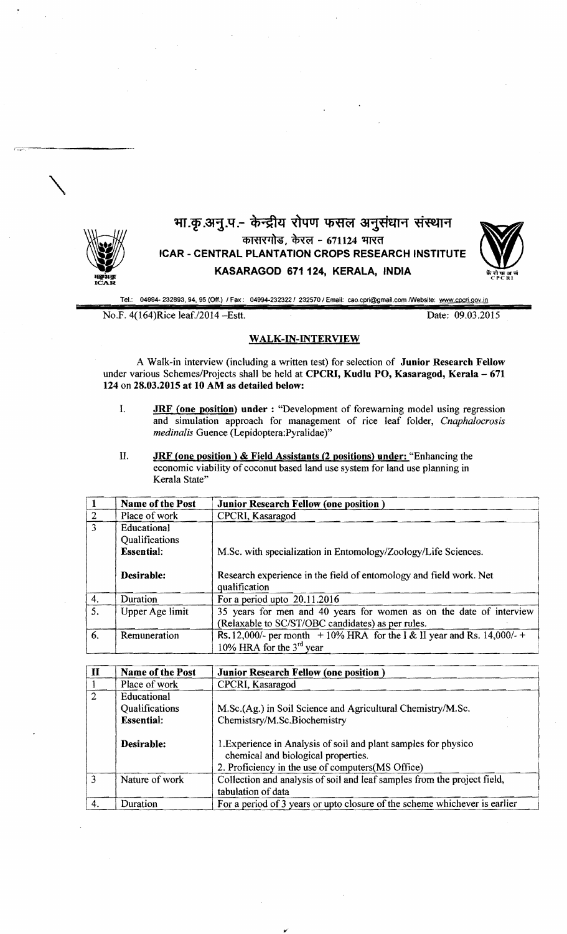

## भा.कृ.अनु.प.- केन्द्रीय रोपण फसल अनुसंधान संस्थान कासरगोड, केरल - 671124 भारत ICAR - CENTRAL PLANTATION CROPS RESEARCH INSTITUTE KASARAGOD 671 124, KERALA, INDIA



Tel.: 04994- 232693,94,95 (Off.) I Fax: *04994-2323221* 232570 I Email: cao.cpri@gmail,com !Website: www.cpcri.goY.in

No.F. 4(164)Rice leaf./2014 - Estt. Date: 09.03.2015

## WALK-IN-INTERVIEW

A Walk-in interview (including a written test) for selection of Junior Research Fellow under various Schemes/Projects shall be held at CPCRI, Kudlu PO, Kasaragod, Kerala - 671 124 on 28.03.2015 at 10 AM as detailed below:

- I. **JRF (one position) under:** "Development of forewarning model using regression and simulation approach for management of rice leaf folder, *Cnaphalocrosis medinalis* Guence (Lepidoptera:Pyralidae)"
- II. **JRF (one position) & Field Assistants (2 positions) under:** "Enhancing the economic viability of coconut based land use system for land use planning in Kerala State"

|               | Name of the Post       | <b>Junior Research Fellow (one position)</b>                                        |
|---------------|------------------------|-------------------------------------------------------------------------------------|
|               | Place of work          | CPCRI, Kasaragod                                                                    |
| $\mathcal{R}$ | Educational            |                                                                                     |
|               | Qualifications         |                                                                                     |
|               | <b>Essential:</b>      | M.Sc. with specialization in Entomology/Zoology/Life Sciences.                      |
|               | Desirable:             | Research experience in the field of entomology and field work. Net<br>qualification |
| 4.            | Duration               | For a period upto $20.11.2016$                                                      |
| 5.            | <b>Upper Age limit</b> | 35 years for men and 40 years for women as on the date of interview                 |
|               |                        | (Relaxable to SC/ST/OBC candidates) as per rules.                                   |
| 6.            | Remuneration           | Rs. 12,000/- per month $+10\%$ HRA for the I & II year and Rs. 14,000/- +           |
|               |                        | 10% HRA for the $3rd$ year                                                          |

| п | <b>Name of the Post</b> | <b>Junior Research Fellow (one position)</b>                                                           |
|---|-------------------------|--------------------------------------------------------------------------------------------------------|
|   | Place of work           | CPCRI, Kasaragod                                                                                       |
| 2 | Educational             |                                                                                                        |
|   | Qualifications          | M.Sc.(Ag.) in Soil Science and Agricultural Chemistry/M.Sc.                                            |
|   | <b>Essential:</b>       | Chemistsry/M.Sc.Biochemistry                                                                           |
|   | Desirable:              | 1. Experience in Analysis of soil and plant samples for physico<br>chemical and biological properties. |
|   |                         | 2. Proficiency in the use of computers(MS Office)                                                      |
| 3 | Nature of work          | Collection and analysis of soil and leaf samples from the project field,                               |
|   |                         | tabulation of data                                                                                     |
|   | Duration                | For a period of 3 years or upto closure of the scheme whichever is earlier                             |